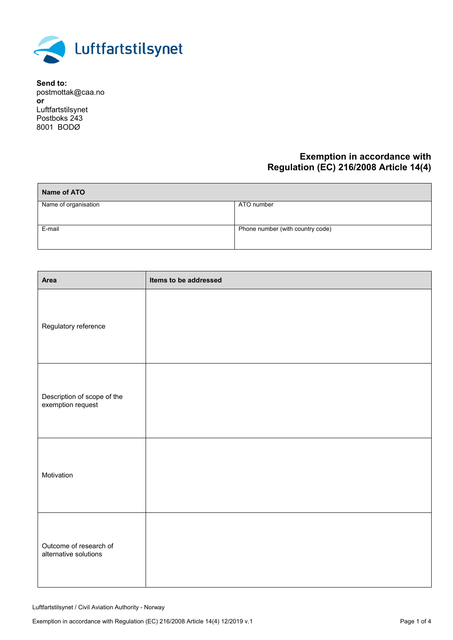

**Send to:** postmottak@caa.no **or**  Luftfartstilsynet Postboks 243 8001 BODØ

## **Exemption in accordance with Regulation (EC) 216/2008 Article 14(4)**

| Name of ATO          |                                  |
|----------------------|----------------------------------|
| Name of organisation | ATO number                       |
| E-mail               | Phone number (with country code) |

| Area                                             | Items to be addressed |
|--------------------------------------------------|-----------------------|
| Regulatory reference                             |                       |
| Description of scope of the<br>exemption request |                       |
| Motivation                                       |                       |
| Outcome of research of<br>alternative solutions  |                       |

Luftfartstilsynet / Civil Aviation Authority - Norway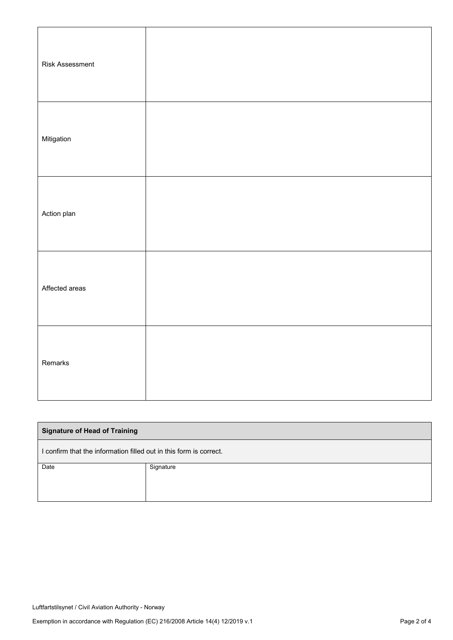| <b>Risk Assessment</b> |  |
|------------------------|--|
| Mitigation             |  |
| Action plan            |  |
| Affected areas         |  |
| Remarks                |  |

| <b>Signature of Head of Training</b>                               |           |  |
|--------------------------------------------------------------------|-----------|--|
| I confirm that the information filled out in this form is correct. |           |  |
| Date                                                               | Signature |  |
|                                                                    |           |  |
|                                                                    |           |  |
|                                                                    |           |  |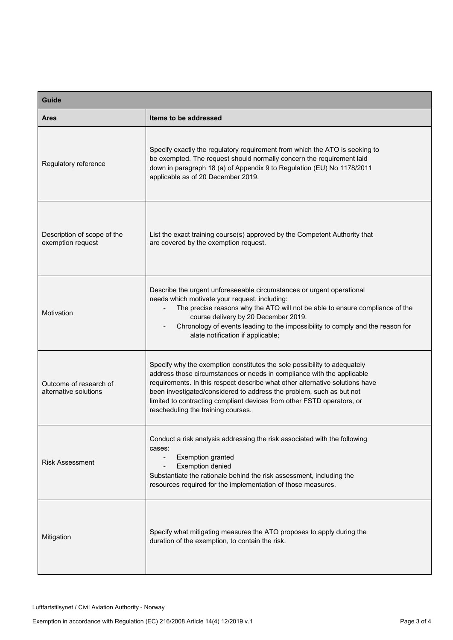| <b>Guide</b>                                     |                                                                                                                                                                                                                                                                                                                                                                                                                            |  |
|--------------------------------------------------|----------------------------------------------------------------------------------------------------------------------------------------------------------------------------------------------------------------------------------------------------------------------------------------------------------------------------------------------------------------------------------------------------------------------------|--|
| Area                                             | Items to be addressed                                                                                                                                                                                                                                                                                                                                                                                                      |  |
| Regulatory reference                             | Specify exactly the regulatory requirement from which the ATO is seeking to<br>be exempted. The request should normally concern the requirement laid<br>down in paragraph 18 (a) of Appendix 9 to Regulation (EU) No 1178/2011<br>applicable as of 20 December 2019.                                                                                                                                                       |  |
| Description of scope of the<br>exemption request | List the exact training course(s) approved by the Competent Authority that<br>are covered by the exemption request.                                                                                                                                                                                                                                                                                                        |  |
| Motivation                                       | Describe the urgent unforeseeable circumstances or urgent operational<br>needs which motivate your request, including:<br>The precise reasons why the ATO will not be able to ensure compliance of the<br>course delivery by 20 December 2019.<br>Chronology of events leading to the impossibility to comply and the reason for<br>alate notification if applicable;                                                      |  |
| Outcome of research of<br>alternative solutions  | Specify why the exemption constitutes the sole possibility to adequately<br>address those circumstances or needs in compliance with the applicable<br>requirements. In this respect describe what other alternative solutions have<br>been investigated/considered to address the problem, such as but not<br>limited to contracting compliant devices from other FSTD operators, or<br>rescheduling the training courses. |  |
| <b>Risk Assessment</b>                           | Conduct a risk analysis addressing the risk associated with the following<br>cases:<br><b>Exemption granted</b><br>$\overline{\phantom{a}}$<br><b>Exemption denied</b><br>Substantiate the rationale behind the risk assessment, including the<br>resources required for the implementation of those measures.                                                                                                             |  |
| Mitigation                                       | Specify what mitigating measures the ATO proposes to apply during the<br>duration of the exemption, to contain the risk.                                                                                                                                                                                                                                                                                                   |  |